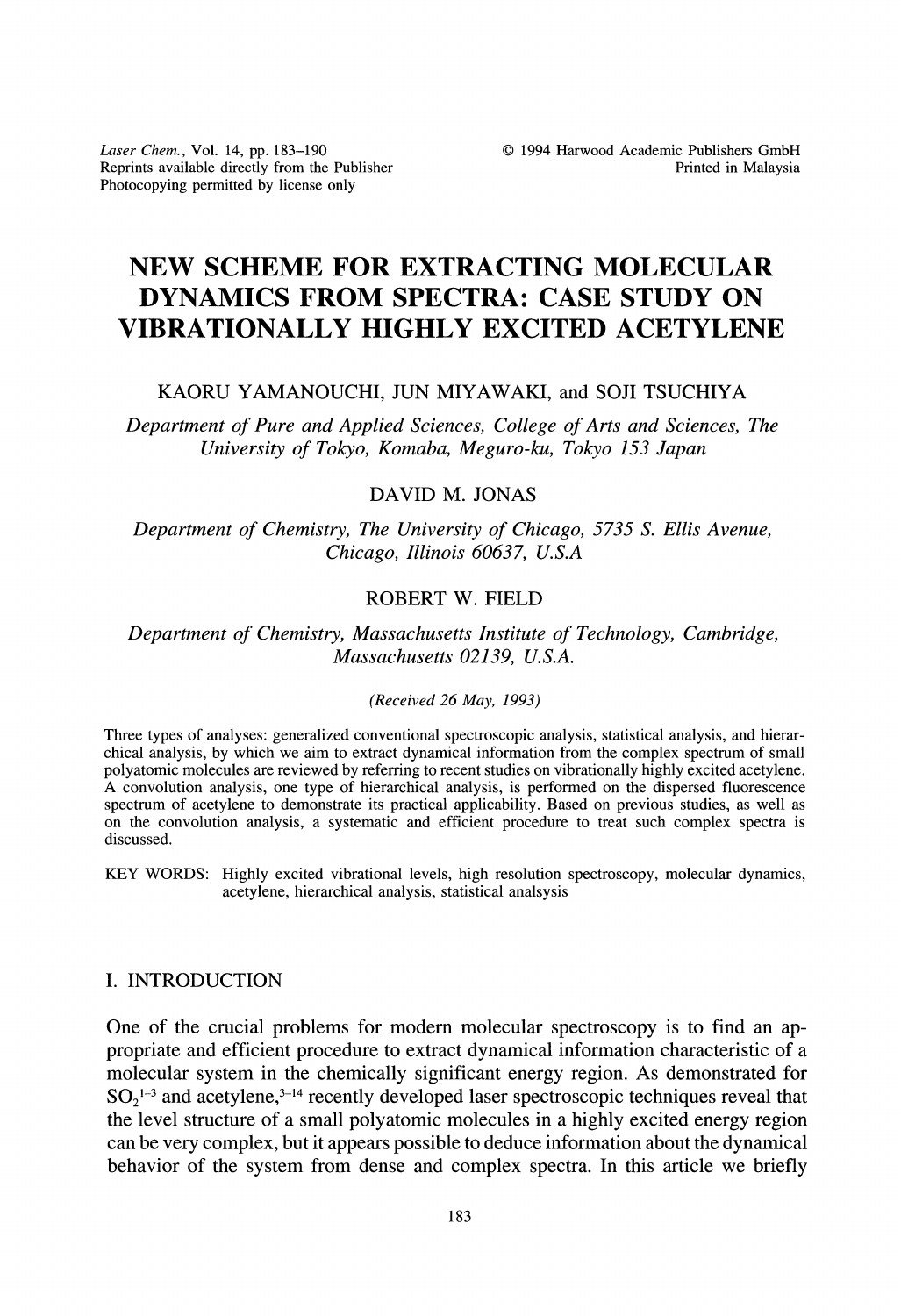Laser Chem., Vol. 14, pp. 183-190 Reprints available directly from the Publisher Photocopying permitted by license only

# NEW SCHEME FOR EXTRACTING MOLECULAR DYNAMICS FROM SPECTRA: CASE STUDY ON VIBRATIONALLY HIGHLY EXCITED ACETYLENE

### KAORU YAMANOUCHI, JUN MIYAWAKI, and SOJI TSUCHIYA

Department of Pure and Applied Sciences, College of Arts and Sciences, The University of Tokyo, Komaba, Meguro-ku, Tokyo 153 Japan

# DAVID M. JONAS

Department of Chemistry, The University of Chicago, 5735 S. Ellis Avenue, Chicago, Illinois 60637, U.S.A

## ROBERT W. FIELD

Department of Chemistry, Massachusetts Institute of Technology, Cambridge, Massachusetts 02139, U.S.A.

#### (Received 26 May, 1993)

Three types of analyses: generalized conventional spectroscopic analysis, statistical analysis, and hierarchical analysis, by which we aim to extract dynamical information from the complex spectrum of small polyatomic molecules are reviewed by referring to recent studies on vibrationally highly excited acetylene. A convolution analysis, one type of hierarchical analysis, is performed on the dispersed fluorescence spectrum of acetylene to demonstrate its practical applicability. Based on previous studies, as well as on the convolution analysis, a systematic and efficient procedure to treat such complex spectra is discussed.

KEY WORDS: Highly excited vibrational levels, high resolution spectroscopy, molecular dynamics, acetylene, hierarchical analysis, statistical analsysis

#### I. INTRODUCTION

One of the crucial problems for modern molecular spectroscopy is to find an appropriate and efficient procedure to extract dynamical information characteristic of a molecular system in the chemically significant energy region. As demonstrated for  $SO<sub>2</sub><sup>1-3</sup>$  and acetylene,<sup>3-14</sup> recently developed laser spectroscopic techniques reveal that the level structure of a small polyatomic molecules in a highly excited energy region can be very complex, but it appears possible to deduce information about the dynamical behavior of the system from dense and complex spectra. In this article we briefly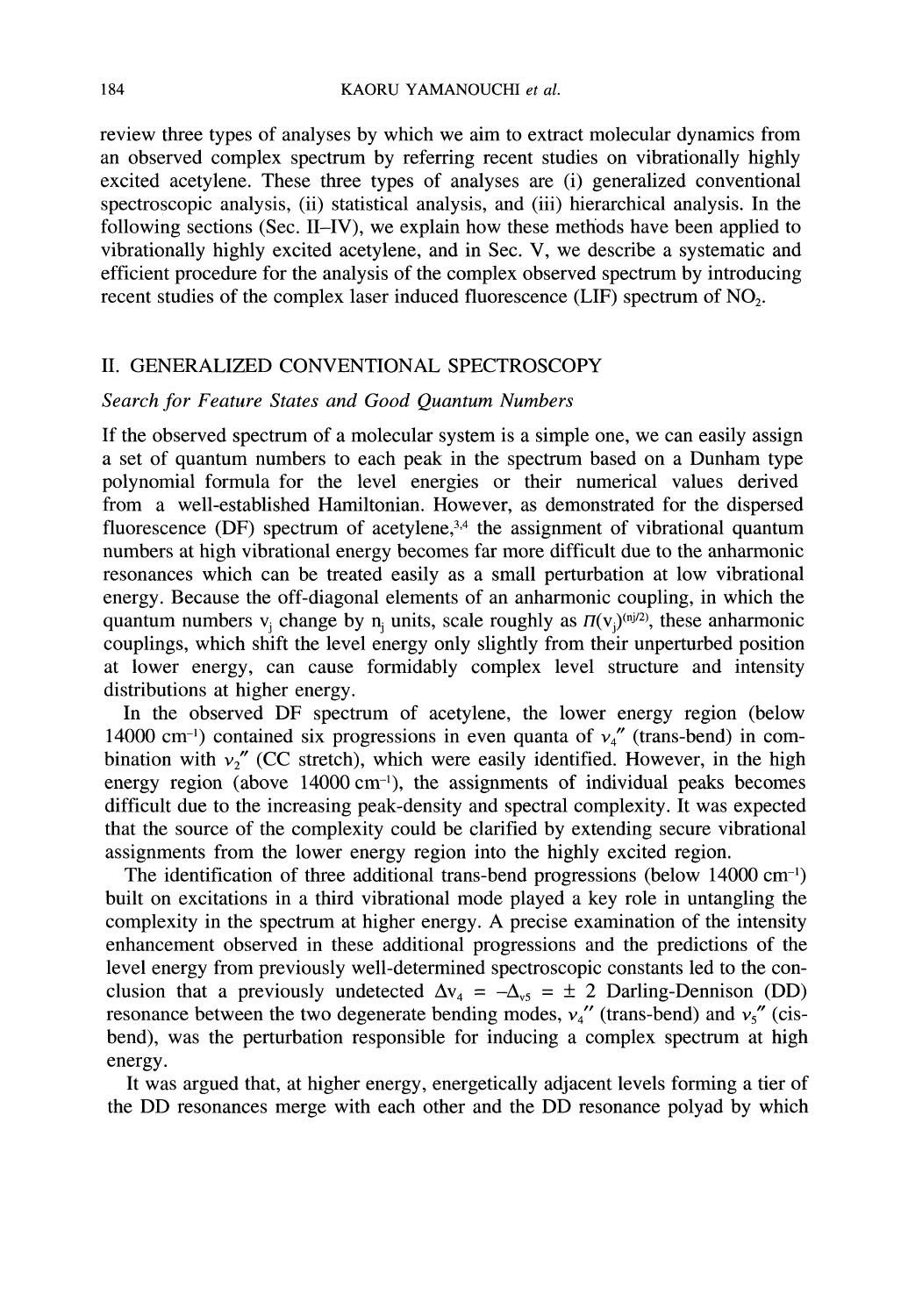review three types of analyses by which we aim to extract molecular dynamics from an observed complex spectrum by referring recent studies on vibrationally highly excited acetylene. These three types of analyses are (i) generalized conventional spectroscopic analysis, (ii) statistical analysis, and (iii) hierarchical analysis. In the following sections (Sec. II-IV), we explain how these mettiods have been applied to vibrationally highly excited acetylene, and in Sec. V, we describe a systematic and efficient procedure for the analysis of the complex observed spectrum by introducing recent studies of the complex laser induced fluorescence  $(LIF)$  spectrum of NO<sub>2</sub>.

#### II. GENERALIZED CONVENTIONAL SPECTROSCOPY

### Search for Feature States and Good Quantum Numbers

If the observed spectrum of a molecular system is a simple one, we can easily assign a set of quantum numbers to each peak in the spectrum based on a Dunham type polynomial formula for the level energies or their numerical values derived from a well-established Hamiltonian. However, as demonstrated for the dispersed fluorescence (DF) spectrum of acetylene,<sup>3,4</sup> the assignment of vibrational quantum numbers at high vibrational energy becomes far more difficult due to the anharmonic resonances which can be treated easily as a small perturbation at low vibrational energy. Because the off-diagonal elements of an anharmonic coupling, in which the quantum numbers  $v_i$  change by n units, scale roughly as  $\Pi(v_i)^{(n)/2)}$ , these anharmonic couplings, which shift the level energy only slightly from their unperturbed position at lower energy, can cause formidably complex level structure and intensity distributions at higher energy.

In the observed DF spectrum of acetylene, the lower energy region (below 14000 cm<sup>-1</sup>) contained six progressions in even quanta of  $v_4$ " (trans-bend) in combination with  $v_2$ " (CC stretch), which were easily identified. However, in the high energy region (above  $14000 \text{ cm}^{-1}$ ), the assignments of individual peaks becomes difficult due to the increasing peak-density and spectral complexity. It was expected that the source of the complexity could be clarified by extending secure vibrational assignments from the lower energy region into the highly excited region.

The identification of three additional trans-bend progressions (below 14000 cm-) built on excitations in a third vibrational mode played a key role in untangling the complexity in the spectrum at higher energy. A precise examination of the intensity enhancement observed in these additional progressions and the predictions of the level energy from previously well-determined spectroscopic constants led to the conclusion that a previously undetected  $\Delta v_4 = -\Delta v_5 = \pm 2$  Darling-Dennison (DD) resonance between the two degenerate bending modes,  $v_4$ " (trans-bend) and  $v_5$ " (cisbend), was the perturbation responsible for inducing a complex spectrum at high energy.

It was argued that, at higher energy, energetically adjacent levels forming a tier of the DD resonances merge with each other and the DD resonance polyad by which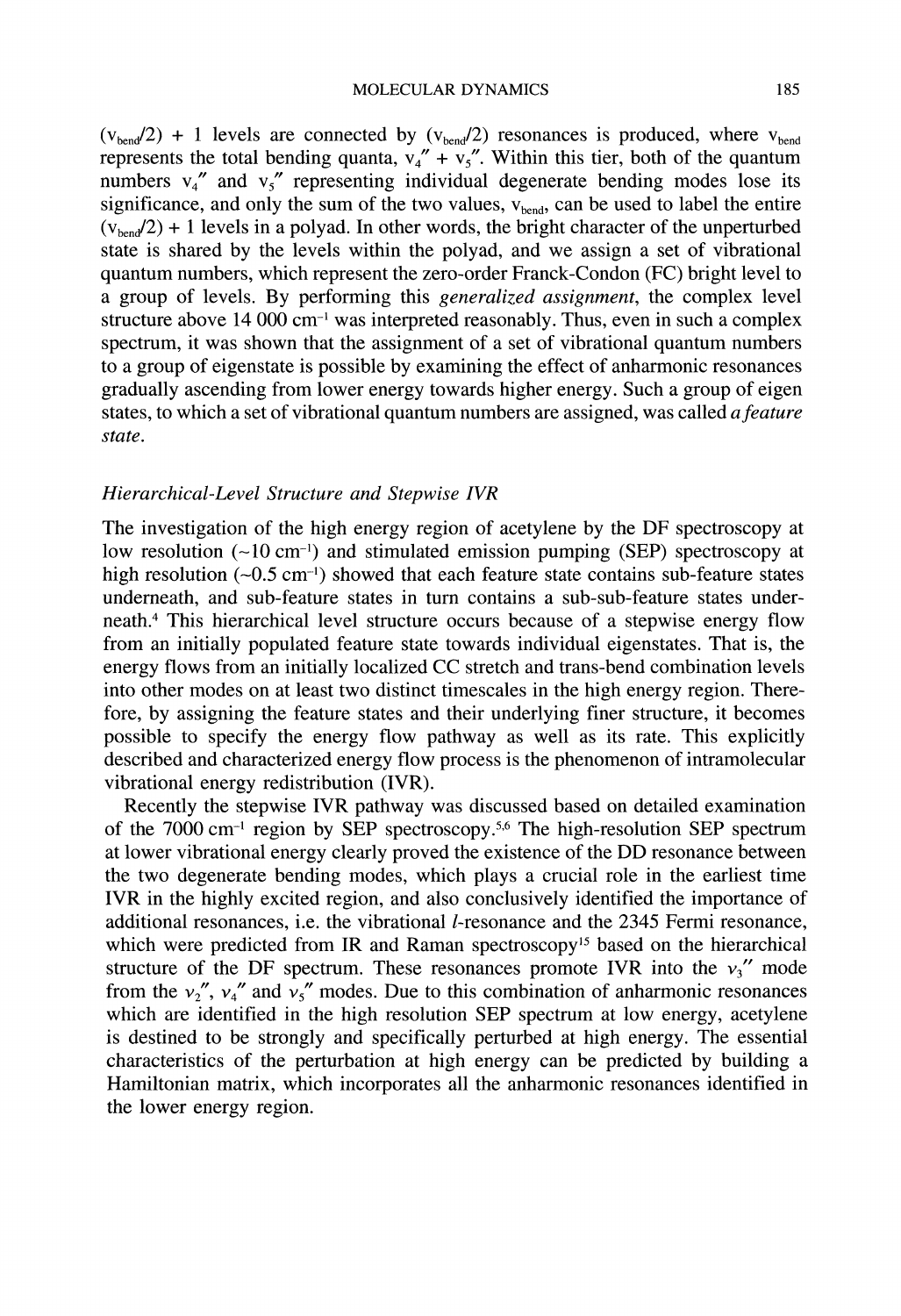$(v_{\text{bend}}/2)$  + 1 levels are connected by  $(v_{\text{bend}}/2)$  resonances is produced, where  $v_{\text{bend}}$ represents the total bending quanta,  $v_4'' + v_5''$ . Within this tier, both of the quantum numbers  $v_4$ <sup>"</sup> and  $v_5$ " representing individual degenerate bending modes lose its significance, and only the sum of the two values,  $v_{\text{bend}}$ , can be used to label the entire  $(v_{\text{bend}}/2)$  + 1 levels in a polyad. In other words, the bright character of the unperturbed state is shared by the levels within the polyad, and we assign a set of vibrational quantum numbers, which represent the zero-order Franck-Condon (FC) bright level to a group of levels. By performing this generalized assignment, the complex level structure above  $14\ 000\ cm^{-1}$  was interpreted reasonably. Thus, even in such a complex structure above 14 000 cm<sup>-1</sup> was interpreted reasonably. Thus, even in such a complex<br>spectrum, it was shown that the assignment of a set of vibrational quantum numbers to a group of eigenstate is possible by examining the effect of anharmonic resonances gradually ascending from lower energy towards higher energy. Such a group of eigen states, to which a set of vibrational quantum numbers are assigned, was called a feature state.

#### Hierarchical-Level Structure and Stepwise IVR

The investigation of the high energy region of acetylene by the DF spectroscopy at low resolution  $(-10 \text{ cm}^{-1})$  and stimulated emission pumping (SEP) spectroscopy at high resolution  $(-0.5 \text{ cm}^{-1})$  showed that each feature state contains sub-feature states underneath, and sub-feature states in turn contains a sub-sub-feature states underneath.<sup>4</sup> This hierarchical level structure occurs because of a stepwise energy flow from an initially populated feature state towards individual eigenstates. That is, the energy flows from an initially localized CC stretch and trans-bend combination levels into other modes on at least two distinct timescales in the high energy region. Therefore, by assigning the feature states and their underlying finer structure, it becomes possible to specify the energy flow pathway as well as its rate. This explicitly described and characterized energy flow process is the phenomenon of intramolecular vibrational energy redistribution (IVR).

Recently the stepwise IVR pathway was discussed based on detailed examination of the  $7000 \text{ cm}^{-1}$  region by SEP spectroscopy.<sup>5,6</sup> The high-resolution SEP spectrum of the 7000 cm<sup>-1</sup> region by SEP spectroscopy.<sup>5,6</sup> The high-resolution SEP spectrum at lower vibrational energy clearly proved the existence of the DD resonance between the two degenerate bending modes, which plays a crucial role in the earliest time IVR in the highly excited region, and also conclusively identified the importance of additional resonances, i.e. the vibrational  $l$ -resonance and the 2345 Fermi resonance, which were predicted from IR and Raman spectroscopy<sup>15</sup> based on the hierarchical structure of the DF spectrum. These resonances promote IVR into the  $v_3$ " mode from the  $v_2''$ ,  $v_4''$  and  $v_5''$  modes. Due to this combination of anharmonic resonances which are identified in the high resolution SEP spectrum at low energy, acetylene is destined to be strongly and specifically perturbed at high energy. The essential characteristics of the perturbation at high energy can be predicted by building a Hamiltonian matrix, which incorporates all the anharmonic resonances identified in the lower energy region.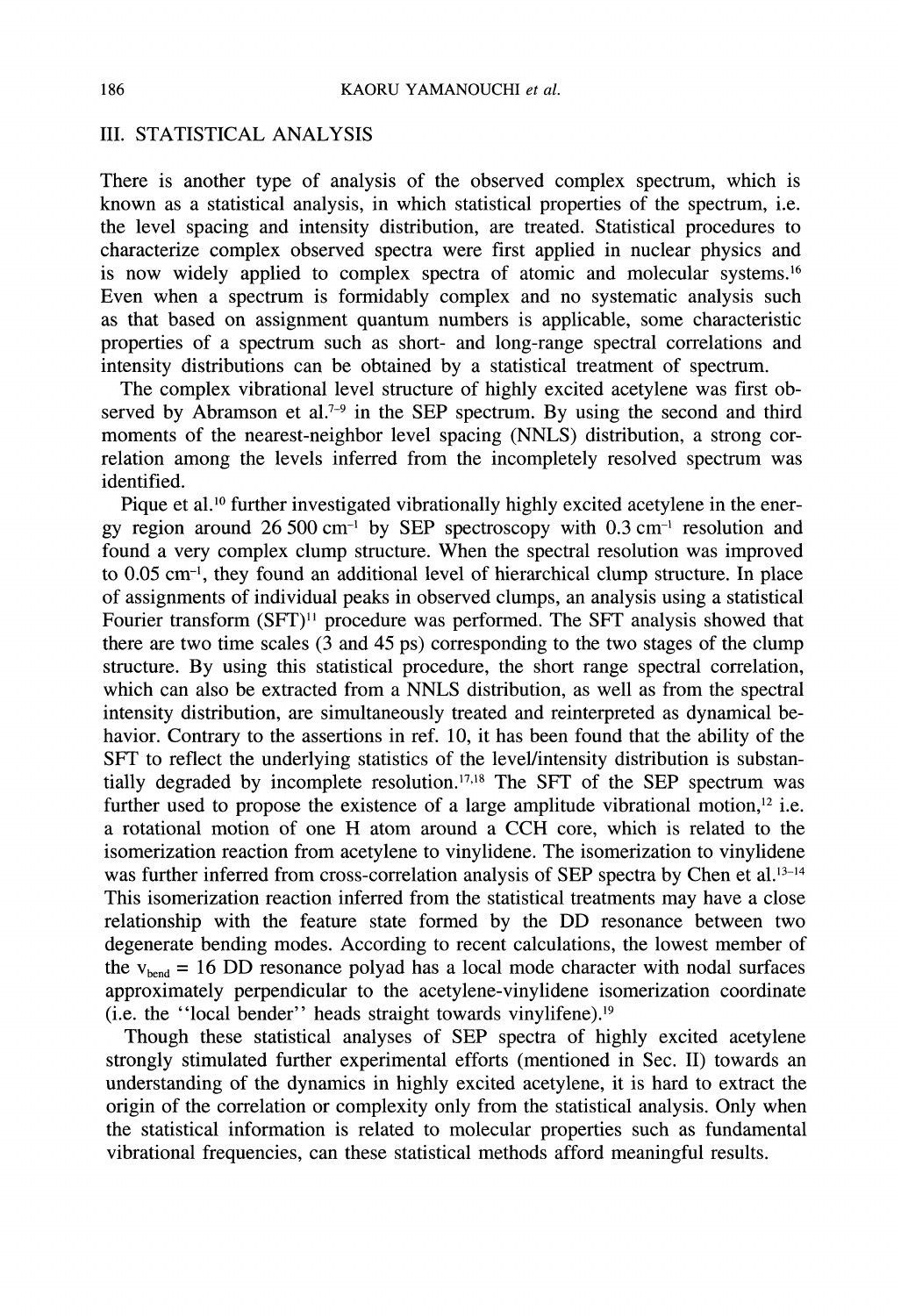### III. STATISTICAL ANALYSIS

There is another type of analysis of the observed complex spectrum, which is known as a statistical analysis, in which statistical properties of the spectrum, i.e. the level spacing and intensity distribution, are treated. Statistical procedures to characterize complex observed spectra were first applied in nuclear physics and is now widely applied to complex spectra of atomic and molecular systems.<sup>16</sup> Even when a spectrum is formidably complex and no systematic analysis such as that based on assignment quantum numbers is applicable, some characteristic properties of a spectrum such as short- and long-range spectral correlations and intensity distributions can be obtained by a statistical treatment of spectrum.

The complex vibrational level structure of highly excited acetylene was first observed by Abramson et al.<sup>7-9</sup> in the SEP spectrum. By using the second and third moments of the nearest-neighbor level spacing (NNLS) distribution, a strong correlation among the levels inferred from the incompletely resolved spectrum was identified.

Pique et al.<sup>10</sup> further investigated vibrationally highly excited acetylene in the energy region around 26 500 cm<sup>-1</sup> by SEP spectroscopy with  $0.3 \text{ cm}^{-1}$  resolution and gy region around 26 500 cm<sup>-1</sup> by SEP spectroscopy with 0.3 cm<sup>-1</sup> resolution and found a very complex clump structure. When the spectral resolution was improved to 0.05 cm<sup>-1</sup>, they found an additional level of hierarchical clump structure. In place of assignments of individual peaks in observed clumps, an analysis using a statistical Fourier transform (SFT)<sup>11</sup> procedure was performed. The SFT analysis showed that there are two time scales  $(3 \text{ and } 45 \text{ ps})$  corresponding to the two stages of the clump structure. By using this statistical procedure, the short range spectral correlation, which can also be extracted from a NNLS distribution, as well as from the spectral intensity distribution, are simultaneously treated and reinterpreted as dynamical behavior. Contrary to the assertions in ref. 10, it has been found that the ability of the SFT to reflect the underlying statistics of the level/intensity distribution is substantially degraded by incomplete resolution.<sup>17,18</sup> The SFT of the SEP spectrum was further used to propose the existence of a large amplitude vibrational motion,<sup>12</sup> i.e. <sup>a</sup> rotational motion of one H atom around <sup>a</sup> CCH core, which is related to the isomerization reaction from acetylene to vinylidene. The isomerization to vinylidene was further inferred from cross-correlation analysis of SEP spectra by Chen et al.<sup>13-14</sup> This isomerization reaction inferred from the statistical treatments may have a close relationship with the feature state formed by the DD resonance between two degenerate bending modes. According to recent calculations, the lowest member of the  $v_{head}$  = 16 DD resonance polyad has a local mode character with nodal surfaces approximately perpendicular to the acetylene-vinylidene isomerization coordinate (i.e. the "local bender" heads straight towards vinylifene).<sup>19</sup>

Though these statistical analyses of SEP spectra of highly excited acetylene strongly stimulated further experimental efforts (mentioned in Sec. II) towards an understanding of the dynamics in highly excited acetylene, it is hard to extract the origin of the correlation or complexity only from the statistical analysis. Only when the statistical information is related to molecular properties such as fundamental vibrational frequencies, can these statistical methods afford meaningful results.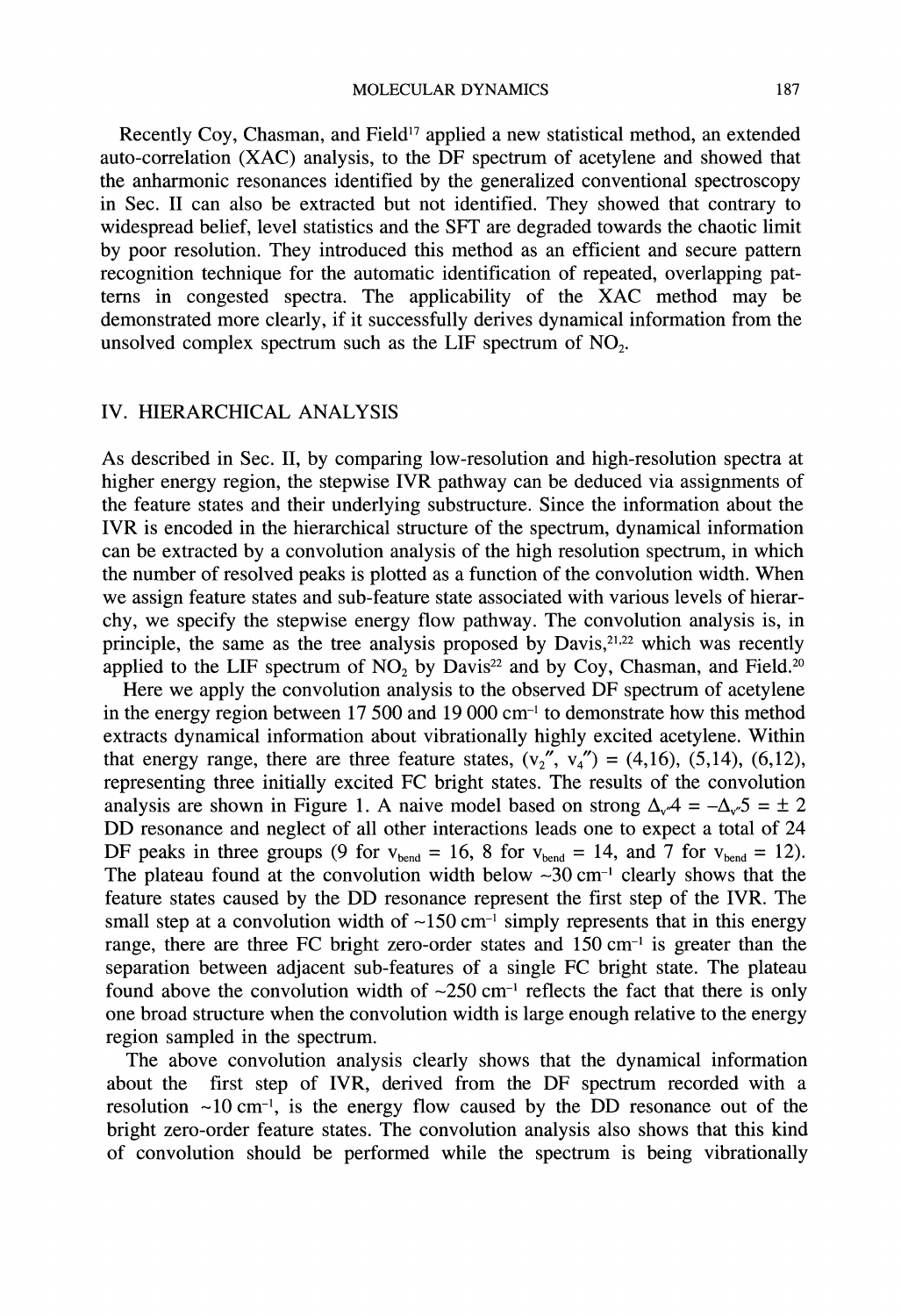MOLECULAR DYNAMICS 187

Recently Coy, Chasman, and Field<sup>17</sup> applied a new statistical method, an extended auto-correlation (XAC) analysis, to the DF spectrum of acetylene and showed that the anharmonic resonances identified by the generalized conventional spectroscopy in Sec. II can also be extracted but not identified. They showed that contrary to widespread belief, level statistics and the SFT are degraded towards the chaotic limit by poor resolution. They introduced this method as an efficient and secure pattern recognition technique for the automatic identification of repeated, overlapping patterns in congested spectra. The applicability of the XAC method may be demonstrated more clearly, if it successfully derives dynamical information from the unsolved complex spectrum such as the LIF spectrum of  $NO<sub>2</sub>$ .

## IV. HIERARCHICAL ANALYSIS

As described in Sec. II, by comparing low-resolution and high-resolution spectra at higher energy region, the stepwise IVR pathway can be deduced via assignments of the feature states and their underlying substructure. Since the information about the IVR is encoded in the hierarchical structure of the spectrum, dynamical information can be extracted by a convolution analysis of the high resolution spectrum, in which the number of resolved peaks is plotted as <sup>a</sup> function of the convolution width. When we assign feature states and sub-feature state associated with various levels of hierarchy, we specify the stepwise energy flow pathway. The convolution analysis is, in principle, the same as the tree analysis proposed by Davis,<sup>21,22</sup> which was recently applied to the LIF spectrum of  $NO<sub>2</sub>$  by Davis<sup>22</sup> and by Coy, Chasman, and Field.<sup>20</sup>

Here we apply the convolution analysis to the observed DF spectrum of acetylene in the energy region between 17 500 and 19 000 cm-1 to demonstrate how this method extracts dynamical information about vibrationally highly excited acetylene. Within that energy range, there are three feature states,  $(v_2 \gamma, v_4 \gamma) = (4,16)$ ,  $(5,14)$ ,  $(6,12)$ , representing three initially excited FC bright states. The results of the convolution analysis are shown in Figure 1. A naive model based on strong  $\Delta_v A = -\Delta_v 5 = \pm 2$ DD resonance and neglect of all other interactions leads one to expect <sup>a</sup> total of <sup>24</sup> DF peaks in three groups (9 for  $v_{\text{bend}} = 16$ , 8 for  $v_{\text{bend}} = 14$ , and 7 for  $v_{\text{bend}} = 12$ ). The plateau found at the convolution width below  $\sim 30 \text{ cm}^{-1}$  clearly shows that the feature states caused by the DD resonance represent the first step of the IVR. The small step at a convolution width of  $\sim$ 150 cm<sup>-1</sup> simply represents that in this energy range, there are three FC bright zero-order states and 150 cm<sup>-1</sup> is greater than the separation between adjacent sub-features of a single FC bright state. The plateau found above the convolution width of  $\sim$ 250 cm<sup>-1</sup> reflects the fact that there is only found above the convolution width of  $\sim$ 250 cm<sup>-1</sup> reflects the fact that there is only one broad structure when the convolution width is large enough relative to the energy region sampled in the spectrum.

The above convolution analysis clearly shows that the dynamical information about the first step of IVR, derived from the DF spectrum recorded with <sup>a</sup> resolution  $\sim 10 \text{ cm}^{-1}$ , is the energy flow caused by the DD resonance out of the bright zero-order feature states. The convolution analysis also shows that this kind of convolution should be performed while the spectrum is being vibrationally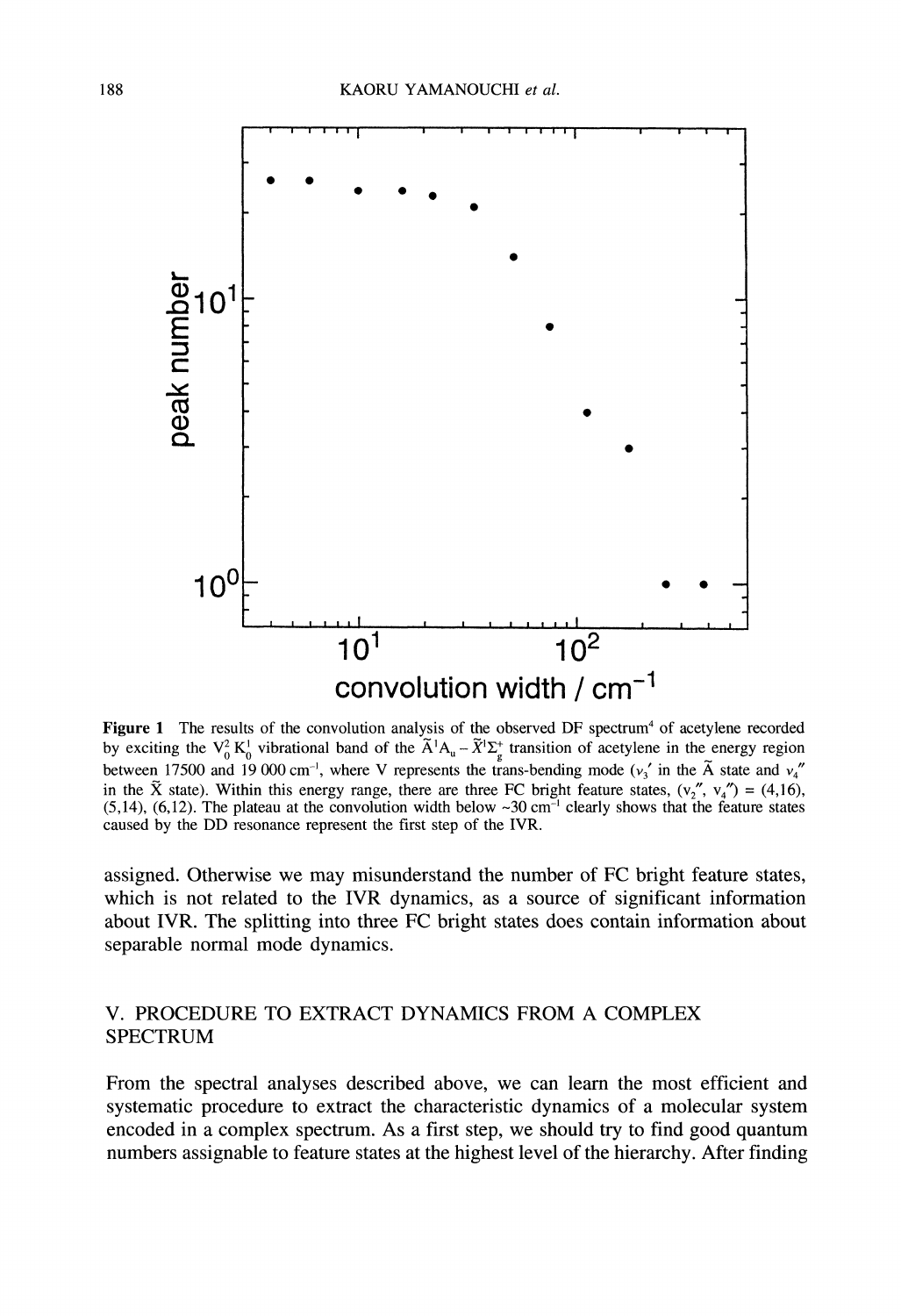

Figure 1 The results of the convolution analysis of the observed DF spectrum<sup>4</sup> of acetylene recorded by exciting the  $V_0^2 K_0^1$  vibrational band of the  $\tilde{A}^1 A_u - \tilde{X}^1 \Sigma_g^+$  transition of acetylene in the energy region between 17500 and 19 000 cm<sup>-1</sup>, where V represents the trans-bending mode ( $v_3$ ' in the  $\tilde{A}$  state and  $v_4$ " in the  $\tilde{X}$  state). Within this energy range, there are three FC bright feature states,  $(v''$ ,  $v''_4$ ) = (4,16),  $(5,14)$ ,  $(6,12)$ . The plateau at the convolution width below  $\sim 30 \text{ cm}^{-1}$  clearly shows that the feature states caused by the DD resonance represent the first step of the IVR. caused by the DD resonance represent the first step of the IVR.

assigned. Otherwise we may misunderstand the number of FC bright feature states, which is not related to the IVR dynamics, as a source of significant information about IVR. The splitting into three FC bright states does contain information about separable normal mode dynamics.

### V. PROCEDURE TO EXTRACT DYNAMICS FROM A COMPLEX SPECTRUM

From the spectral analyses described above, we can learn the most efficient and systematic procedure to extract the characteristic dynamics of a molecular system encoded in a complex spectrum. As a first step, we should try to find good quantum numbers assignable to feature states at the highest level of the hierarchy. After finding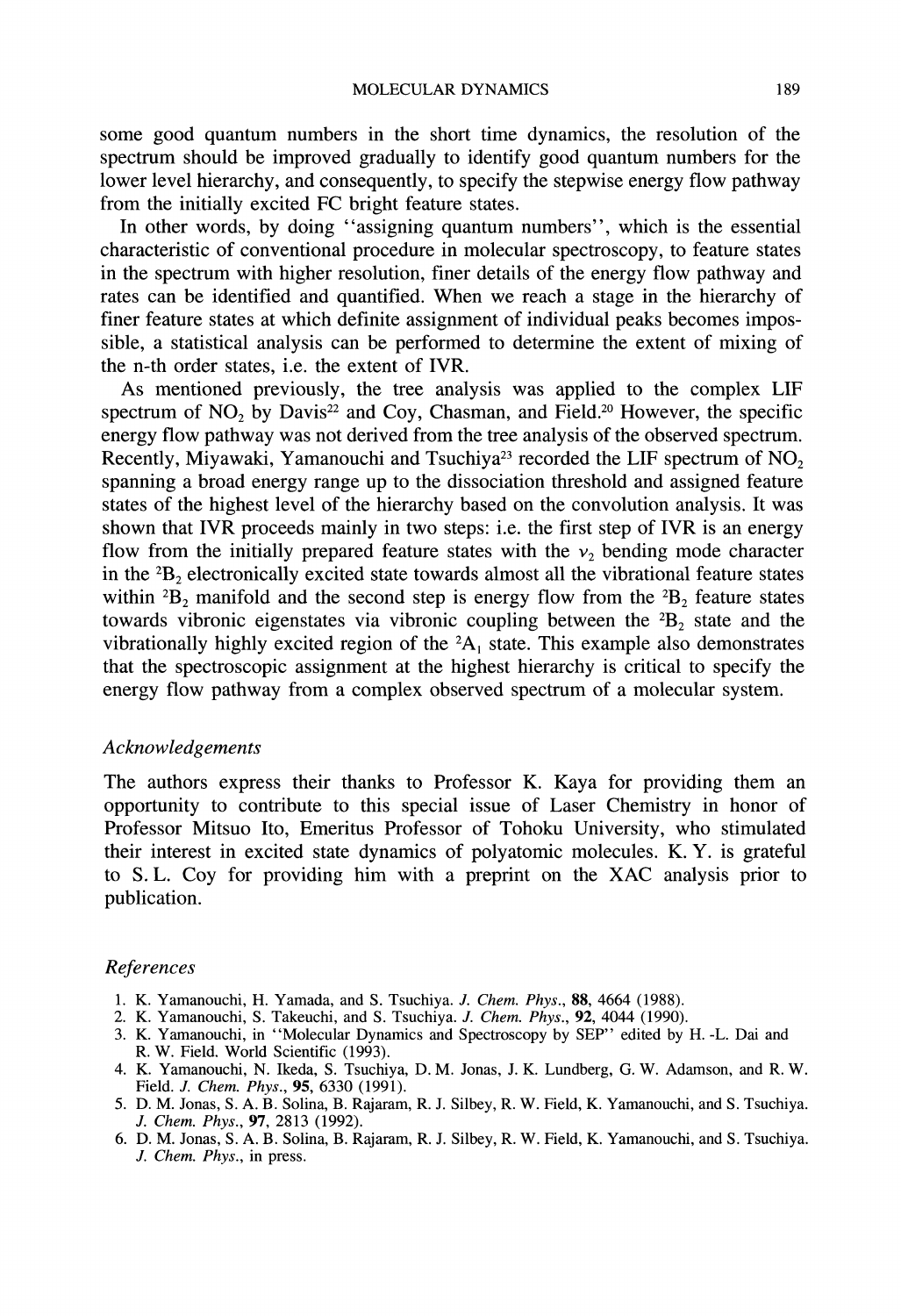some good quantum numbers in the short time dynamics, the resolution of the spectrum should be improved gradually to identify good quantum numbers for the lower level hierarchy, and consequently, to specify the stepwise energy flow pathway from the initially excited FC bright feature states.

In other words, by doing "assigning quantum numbers", which is the essential characteristic of conventional procedure in molecular spectroscopy, to feature states in the spectrum with higher resolution, finer details of the energy flow pathway and rates can be identified and quantified. When we reach a stage in the hierarchy of finer feature states at which definite assignment of individual peaks becomes impossible, a statistical analysis can be performed to determine the extent of mixing of the n-th order states, i.e. the extent of IVR.

As mentioned previously, the tree analysis was applied to the complex LIF spectrum of  $NO<sub>2</sub>$  by Davis<sup>22</sup> and Coy, Chasman, and Field.<sup>20</sup> However, the specific energy flow pathway was not derived from the tree analysis of the observed spectrum. Recently, Miyawaki, Yamanouchi and Tsuchiya<sup>23</sup> recorded the LIF spectrum of  $NO<sub>2</sub>$ spanning a broad energy range up to the dissociation threshold and assigned feature states of the highest level of the hierarchy based on the convolution analysis. It was shown that IVR proceeds mainly in two steps: i.e. the first step of IVR is an energy flow from the initially prepared feature states with the  $v_2$  bending mode character in the  ${}^{2}B_{2}$  electronically excited state towards almost all the vibrational feature states within  ${}^{2}B_{2}$  manifold and the second step is energy flow from the  ${}^{2}B_{2}$  feature states towards vibronic eigenstates via vibronic coupling between the  ${}^{2}B_{2}$  state and the vibrationally highly excited region of the  ${}^2A_1$  state. This example also demonstrates that the spectroscopic assignment at the highest hierarchy is critical to specify the energy flow pathway from a complex observed spectrum of a molecular system.

#### Acknowledgements

The authors express their thanks to Professor K. Kaya for providing them an opportunity to contribute to this special issue of Laser Chemistry in honor of Professor Mitsuo Ito, Emeritus Professor of Tohoku University, who stimulated their interest in excited state dynamics of polyatomic molecules. K.Y. is grateful to S.L. Coy for providing him with <sup>a</sup> preprint on the XAC analysis prior to publication.

#### References

- 1. K. Yamanouchi, H. Yamada, and S. Tsuchiya. J. Chem. Phys., 88, 4664 (1988).
- 2. K. Yamanouchi, S. Takeuchi, and S. Tsuchiya. J. Chem. Phys., 92, 4044 (1990).
- 3. K. Yamanouchi, in "Molecular Dynamics and Spectroscopy by SEP" edited by H.-L. Dai and R. W. Field. World Scientific (1993).
- 4. K. Yamanouchi, N. Ikeda, S. Tsuchiya, D.M. Jonas, J. K. Lundberg, G. W. Adamson, and R. W. Field. J. Chem. Phys., 95, 6330 (1991).
- 5. D. M. Jonas, S. A. B. Solina, B. Rajaram, R. J. Silbey, R. W. Field, K. Yamanouchi, and S. Tsuchiya. J. Chem. Phys., 97, 2813 (1992).
- 6. D. M. Jonas, S. A. B. Solina, B. Rajaram, R. J. Silbey, R. W. Field, K. Yamanouchi, and S. Tsuchiya. J. Chem. Phys., in press.